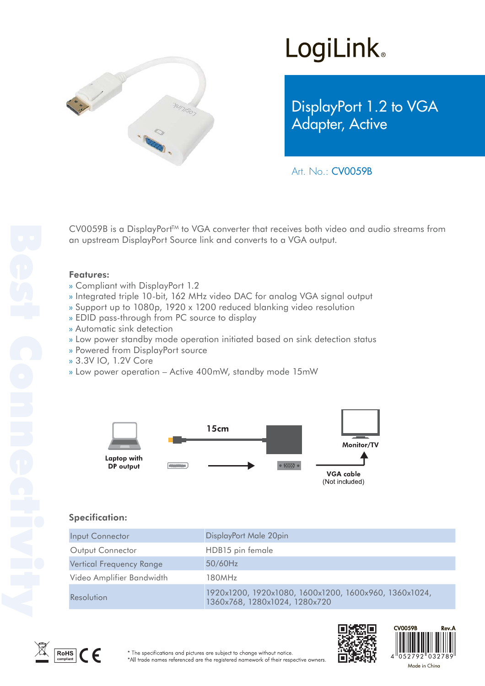

# **LogiLink**

DisplayPort 1.2 to VGA Adapter, Active

Art. No.: CV0059B

CV0059B is a DisplayPort<sup>™</sup> to VGA converter that receives both video and audio streams from an upstream DisplayPort Source link and converts to a VGA output.

#### Features:

- » Compliant with DisplayPort 1.2
- » Integrated triple 10-bit, 162 MHz video DAC for analog VGA signal output
- » Support up to 1080p, 1920 x 1200 reduced blanking video resolution
- » EDID pass-through from PC source to display
- » Automatic sink detection
- » Low power standby mode operation initiated based on sink detection status
- » Powered from DisplayPort source
- » 3.3V IO, 1.2V Core
- » Low power operation Active 400mW, standby mode 15mW



### Specification:

| Input Connector                 | DisplayPort Male 20pin                                                                 |
|---------------------------------|----------------------------------------------------------------------------------------|
| Output Connector                | HDB15 pin female                                                                       |
| <b>Vertical Frequency Range</b> | 50/60Hz                                                                                |
| Video Amplifier Bandwidth       | 180MHz                                                                                 |
| Resolution                      | 1920x1200, 1920x1080, 1600x1200, 1600x960, 1360x1024,<br>1360x768, 1280x1024, 1280x720 |